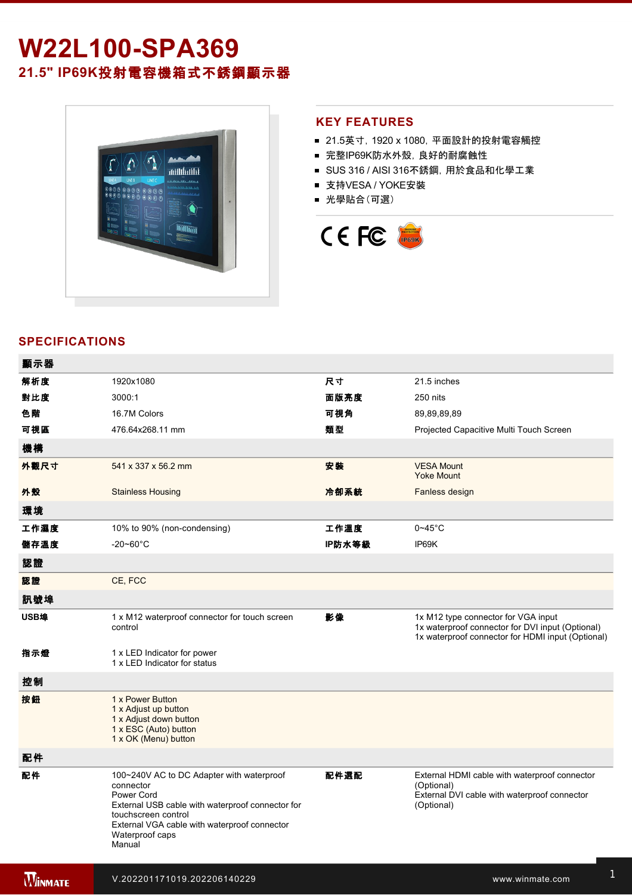# **W22L100-SPA369 21.5" IP69K**投射電容機箱式不銹鋼顯示器



### **KEY FEATURES**

- 21.5英寸, 1920 x 1080, 平面設計的投射電容觸控
- 完整IP69K防水外殼, 良好的耐腐蝕性
- SUS 316 / AISI 316不銹鋼, 用於食品和化學工業
- 支持VESA / YOKE安裝
- 光學貼合(可選)



# **SPECIFICATIONS**

電源規格 12V DC (M12 type)

| 顯示器            |                                                                                                                                                                                                                              |        |                                                                                                                                              |
|----------------|------------------------------------------------------------------------------------------------------------------------------------------------------------------------------------------------------------------------------|--------|----------------------------------------------------------------------------------------------------------------------------------------------|
| 解析度            | 1920x1080                                                                                                                                                                                                                    | 尺寸     | 21.5 inches                                                                                                                                  |
| 對比度            | 3000:1                                                                                                                                                                                                                       | 面版亮度   | 250 nits                                                                                                                                     |
| 色階             | 16.7M Colors                                                                                                                                                                                                                 | 可視角    | 89,89,89,89                                                                                                                                  |
| 可視區            | 476.64x268.11 mm                                                                                                                                                                                                             | 類型     | Projected Capacitive Multi Touch Screen                                                                                                      |
| 機構             |                                                                                                                                                                                                                              |        |                                                                                                                                              |
| 外觀尺寸           | 541 x 337 x 56.2 mm                                                                                                                                                                                                          | 安装     | <b>VESA Mount</b><br><b>Yoke Mount</b>                                                                                                       |
| 外殼             | <b>Stainless Housing</b>                                                                                                                                                                                                     | 冷卻系統   | Fanless design                                                                                                                               |
| 環境             |                                                                                                                                                                                                                              |        |                                                                                                                                              |
| 工作濕度           | 10% to 90% (non-condensing)                                                                                                                                                                                                  | 工作溫度   | $0 - 45$ °C                                                                                                                                  |
| 儲存溫度           | $-20 - 60^{\circ}$ C                                                                                                                                                                                                         | IP防水等級 | IP69K                                                                                                                                        |
| 認證             |                                                                                                                                                                                                                              |        |                                                                                                                                              |
| 認證             | CE, FCC                                                                                                                                                                                                                      |        |                                                                                                                                              |
| 訊號埠            |                                                                                                                                                                                                                              |        |                                                                                                                                              |
| USB埠           | 1 x M12 waterproof connector for touch screen<br>control                                                                                                                                                                     | 影像     | 1x M12 type connector for VGA input<br>1x waterproof connector for DVI input (Optional)<br>1x waterproof connector for HDMI input (Optional) |
| 指示燈            | 1 x LED Indicator for power<br>1 x LED Indicator for status                                                                                                                                                                  |        |                                                                                                                                              |
| 控制             |                                                                                                                                                                                                                              |        |                                                                                                                                              |
| 按鈕             | 1 x Power Button<br>1 x Adjust up button<br>1 x Adjust down button<br>1 x ESC (Auto) button<br>1 x OK (Menu) button                                                                                                          |        |                                                                                                                                              |
| 配件             |                                                                                                                                                                                                                              |        |                                                                                                                                              |
| 配件             | 100~240V AC to DC Adapter with waterproof<br>connector<br>Power Cord<br>External USB cable with waterproof connector for<br>touchscreen control<br>External VGA cable with waterproof connector<br>Waterproof caps<br>Manual | 配件選配   | External HDMI cable with waterproof connector<br>(Optional)<br>External DVI cable with waterproof connector<br>(Optional)                    |
| <b>WINMATE</b> | V.202201171019.202206140229                                                                                                                                                                                                  |        | www.winmate.com                                                                                                                              |